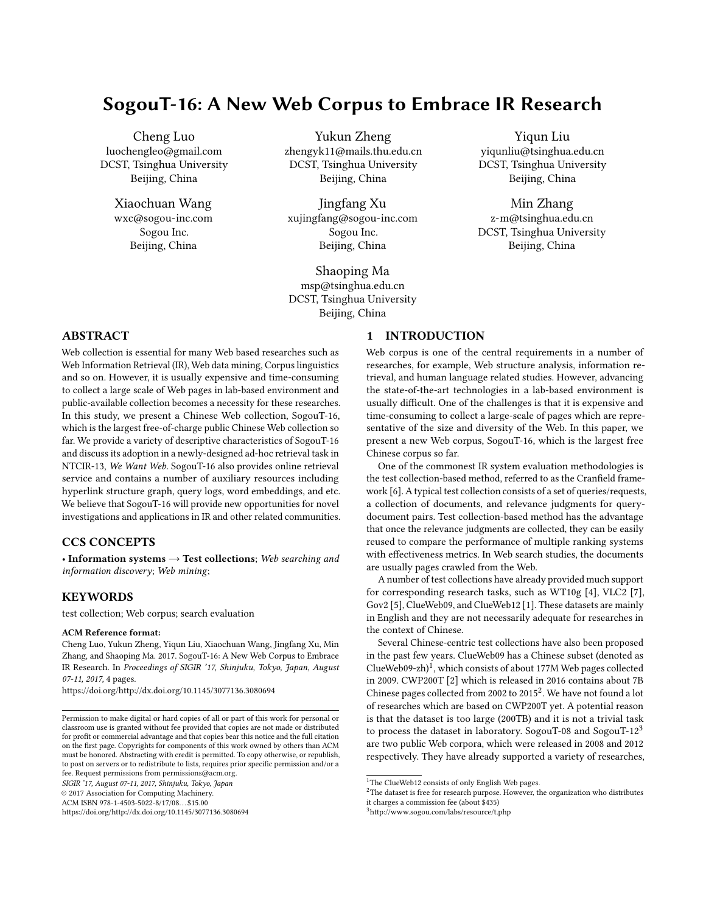# SogouT-16: A New Web Corpus to Embrace IR Research

Cheng Luo luochengleo@gmail.com DCST, Tsinghua University Beijing, China

> Xiaochuan Wang wxc@sogou-inc.com Sogou Inc. Beijing, China

Yukun Zheng zhengyk11@mails.thu.edu.cn DCST, Tsinghua University Beijing, China

Jingfang Xu xujingfang@sogou-inc.com Sogou Inc. Beijing, China

Shaoping Ma msp@tsinghua.edu.cn DCST, Tsinghua University Beijing, China

Yiqun Liu yiqunliu@tsinghua.edu.cn DCST, Tsinghua University Beijing, China

Min Zhang z-m@tsinghua.edu.cn DCST, Tsinghua University Beijing, China

# ABSTRACT

Web collection is essential for many Web based researches such as Web Information Retrieval (IR), Web data mining, Corpus linguistics and so on. However, it is usually expensive and time-consuming to collect a large scale of Web pages in lab-based environment and public-available collection becomes a necessity for these researches. In this study, we present a Chinese Web collection, SogouT-16, which is the largest free-of-charge public Chinese Web collection so far. We provide a variety of descriptive characteristics of SogouT-16 and discuss its adoption in a newly-designed ad-hoc retrieval task in NTCIR-13, We Want Web. SogouT-16 also provides online retrieval service and contains a number of auxiliary resources including hyperlink structure graph, query logs, word embeddings, and etc. We believe that SogouT-16 will provide new opportunities for novel investigations and applications in IR and other related communities.

## CCS CONCEPTS

• Information systems  $\rightarrow$  Test collections; Web searching and information discovery; Web mining;

## **KEYWORDS**

test collection; Web corpus; search evaluation

#### ACM Reference format:

Cheng Luo, Yukun Zheng, Yiqun Liu, Xiaochuan Wang, Jingfang Xu, Min Zhang, and Shaoping Ma. 2017. SogouT-16: A New Web Corpus to Embrace IR Research. In Proceedings of SIGIR '17, Shinjuku, Tokyo, Japan, August 07-11, 2017, [4](#page-3-0) pages.

<https://doi.org/http://dx.doi.org/10.1145/3077136.3080694>

SIGIR '17, August 07-11, 2017, Shinjuku, Tokyo, Japan

© 2017 Association for Computing Machinery.

ACM ISBN 978-1-4503-5022-8/17/08. . . \$15.00

<https://doi.org/http://dx.doi.org/10.1145/3077136.3080694>

# 1 INTRODUCTION

Web corpus is one of the central requirements in a number of researches, for example, Web structure analysis, information retrieval, and human language related studies. However, advancing the state-of-the-art technologies in a lab-based environment is usually difficult. One of the challenges is that it is expensive and time-consuming to collect a large-scale of pages which are representative of the size and diversity of the Web. In this paper, we present a new Web corpus, SogouT-16, which is the largest free Chinese corpus so far.

One of the commonest IR system evaluation methodologies is the test collection-based method, referred to as the Cranfield framework [\[6\]](#page-3-1). A typical test collection consists of a set of queries/requests, a collection of documents, and relevance judgments for querydocument pairs. Test collection-based method has the advantage that once the relevance judgments are collected, they can be easily reused to compare the performance of multiple ranking systems with effectiveness metrics. In Web search studies, the documents are usually pages crawled from the Web.

A number of test collections have already provided much support for corresponding research tasks, such as WT10g [\[4\]](#page-3-2), VLC2 [\[7\]](#page-3-3), Gov2 [\[5\]](#page-3-4), ClueWeb09, and ClueWeb12 [\[1\]](#page-3-5). These datasets are mainly in English and they are not necessarily adequate for researches in the context of Chinese.

Several Chinese-centric test collections have also been proposed in the past few years. ClueWeb09 has a Chinese subset (denoted as ClueWeb09-zh)<sup>[1](#page-0-0)</sup>, which consists of about 177M Web pages collected in 2009. CWP200T [\[2\]](#page-3-6) which is released in 2016 contains about 7B Chinese pages collected from [2](#page-0-1)002 to 2015 $^2$ . We have not found a lot of researches which are based on CWP200T yet. A potential reason is that the dataset is too large (200TB) and it is not a trivial task to process the dataset in laboratory. SogouT-08 and SogouT- $12<sup>3</sup>$  $12<sup>3</sup>$  $12<sup>3</sup>$ are two public Web corpora, which were released in 2008 and 2012 respectively. They have already supported a variety of researches,

<span id="page-0-2"></span><sup>3</sup><http://www.sogou.com/labs/resource/t.php>

Permission to make digital or hard copies of all or part of this work for personal or classroom use is granted without fee provided that copies are not made or distributed for profit or commercial advantage and that copies bear this notice and the full citation on the first page. Copyrights for components of this work owned by others than ACM must be honored. Abstracting with credit is permitted. To copy otherwise, or republish, to post on servers or to redistribute to lists, requires prior specific permission and/or a fee. Request permissions from permissions@acm.org.

<span id="page-0-1"></span><span id="page-0-0"></span><sup>&</sup>lt;sup>1</sup>The ClueWeb12 consists of only English Web pages.

 $2$ The dataset is free for research purpose. However, the organization who distributes

it charges a commission fee (about \$435)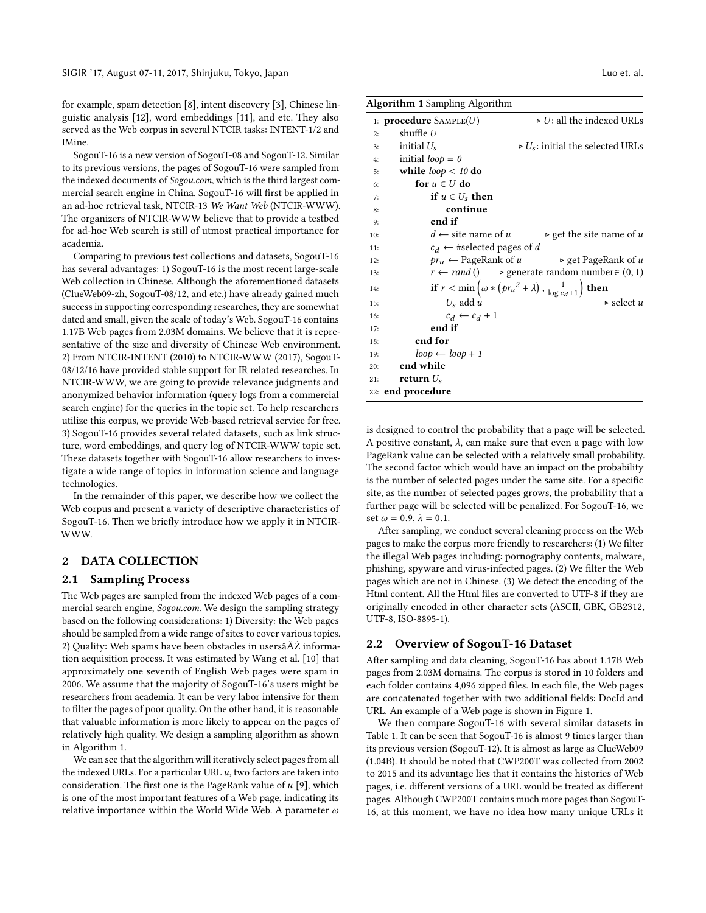for example, spam detection [\[8\]](#page-3-7), intent discovery [\[3\]](#page-3-8), Chinese linguistic analysis [\[12\]](#page-3-9), word embeddings [\[11\]](#page-3-10), and etc. They also served as the Web corpus in several NTCIR tasks: INTENT-1/2 and IMine.

SogouT-16 is a new version of SogouT-08 and SogouT-12. Similar to its previous versions, the pages of SogouT-16 were sampled from the indexed documents of Sogou.com, which is the third largest commercial search engine in China. SogouT-16 will first be applied in an ad-hoc retrieval task, NTCIR-13 We Want Web (NTCIR-WWW). The organizers of NTCIR-WWW believe that to provide a testbed for ad-hoc Web search is still of utmost practical importance for academia.

Comparing to previous test collections and datasets, SogouT-16 has several advantages: 1) SogouT-16 is the most recent large-scale Web collection in Chinese. Although the aforementioned datasets (ClueWeb09-zh, SogouT-08/12, and etc.) have already gained much success in supporting corresponding researches, they are somewhat dated and small, given the scale of today's Web. SogouT-16 contains 1.17B Web pages from 2.03M domains. We believe that it is representative of the size and diversity of Chinese Web environment. 2) From NTCIR-INTENT (2010) to NTCIR-WWW (2017), SogouT-08/12/16 have provided stable support for IR related researches. In NTCIR-WWW, we are going to provide relevance judgments and anonymized behavior information (query logs from a commercial search engine) for the queries in the topic set. To help researchers utilize this corpus, we provide Web-based retrieval service for free. 3) SogouT-16 provides several related datasets, such as link structure, word embeddings, and query log of NTCIR-WWW topic set. These datasets together with SogouT-16 allow researchers to investigate a wide range of topics in information science and language technologies.

In the remainder of this paper, we describe how we collect the Web corpus and present a variety of descriptive characteristics of SogouT-16. Then we briefly introduce how we apply it in NTCIR-WWW.

## 2 DATA COLLECTION

#### 2.1 Sampling Process

The Web pages are sampled from the indexed Web pages of a commercial search engine, Sogou.com. We design the sampling strategy based on the following considerations: 1) Diversity: the Web pages should be sampled from a wide range of sites to cover various topics. 2) Quality: Web spams have been obstacles in usersâĂŹ information acquisition process. It was estimated by Wang et al. [\[10\]](#page-3-11) that approximately one seventh of English Web pages were spam in 2006. We assume that the majority of SogouT-16's users might be researchers from academia. It can be very labor intensive for them to filter the pages of poor quality. On the other hand, it is reasonable that valuable information is more likely to appear on the pages of relatively high quality. We design a sampling algorithm as shown in Algorithm [1.](#page-1-0)

We can see that the algorithm will iteratively select pages from all the indexed URLs. For a particular URL  $u$ , two factors are taken into consideration. The first one is the PageRank value of  $u$  [\[9\]](#page-3-12), which is one of the most important features of a Web page, indicating its relative importance within the World Wide Web. A parameter  $\omega$ 

<span id="page-1-0"></span>

| <b>Algorithm 1</b> Sampling Algorithm        |                                                                                        |
|----------------------------------------------|----------------------------------------------------------------------------------------|
| 1: <b>procedure</b> $SAMPLE(U)$              | $\triangleright$ U: all the indexed URLs                                               |
| shuffle $U$<br>2:                            |                                                                                        |
| initial $U_{s}$<br>3:                        | $\triangleright U_s$ : initial the selected URLs                                       |
| initial $loop = 0$<br>4:                     |                                                                                        |
| while $loop < 10$ do<br>5:                   |                                                                                        |
| for $u \in U$ do<br>6:                       |                                                                                        |
| if $u \in U_s$ then<br>7:                    |                                                                                        |
| continue<br>8:                               |                                                                                        |
| end if<br>9:                                 |                                                                                        |
| $d \leftarrow$ site name of u<br>10:         | $\triangleright$ get the site name of u                                                |
| $c_d \leftarrow$ #selected pages of d<br>11: |                                                                                        |
| $pr_u \leftarrow$ PageRank of u<br>12:       | $\triangleright$ get PageRank of u                                                     |
| 13:                                          | $r \leftarrow rand()$ > generate random number $\in (0, 1)$                            |
| 14:                                          | if $r < \min \left( \omega * (pr_u^2 + \lambda) , \frac{1}{\log c_d + 1} \right)$ then |
| $U_s$ add u<br>15:                           | $\triangleright$ select u                                                              |
| $c_d \leftarrow c_d + 1$<br>16:              |                                                                                        |
| end if<br>17:                                |                                                                                        |
| end for<br>18:                               |                                                                                        |
| $loop \leftarrow loop + 1$<br>19:            |                                                                                        |
| end while<br>20:                             |                                                                                        |
| return $U_s$<br>21:                          |                                                                                        |
| 22: end procedure                            |                                                                                        |

is designed to control the probability that a page will be selected. A positive constant,  $\lambda$ , can make sure that even a page with low PageRank value can be selected with a relatively small probability. The second factor which would have an impact on the probability is the number of selected pages under the same site. For a specific site, as the number of selected pages grows, the probability that a further page will be selected will be penalized. For SogouT-16, we set  $\omega = 0.9$ ,  $\lambda = 0.1$ .

After sampling, we conduct several cleaning process on the Web pages to make the corpus more friendly to researchers: (1) We filter the illegal Web pages including: pornography contents, malware, phishing, spyware and virus-infected pages. (2) We filter the Web pages which are not in Chinese. (3) We detect the encoding of the Html content. All the Html files are converted to UTF-8 if they are originally encoded in other character sets (ASCII, GBK, GB2312, UTF-8, ISO-8895-1).

#### 2.2 Overview of SogouT-16 Dataset

After sampling and data cleaning, SogouT-16 has about 1.17B Web pages from 2.03M domains. The corpus is stored in 10 folders and each folder contains 4,096 zipped files. In each file, the Web pages are concatenated together with two additional fields: DocId and URL. An example of a Web page is shown in Figure 1.

We then compare SogouT-16 with several similar datasets in Table 1. It can be seen that SogouT-16 is almost 9 times larger than its previous version (SogouT-12). It is almost as large as ClueWeb09 (1.04B). It should be noted that CWP200T was collected from 2002 to 2015 and its advantage lies that it contains the histories of Web pages, i.e. different versions of a URL would be treated as different pages. Although CWP200T contains much more pages than SogouT-16, at this moment, we have no idea how many unique URLs it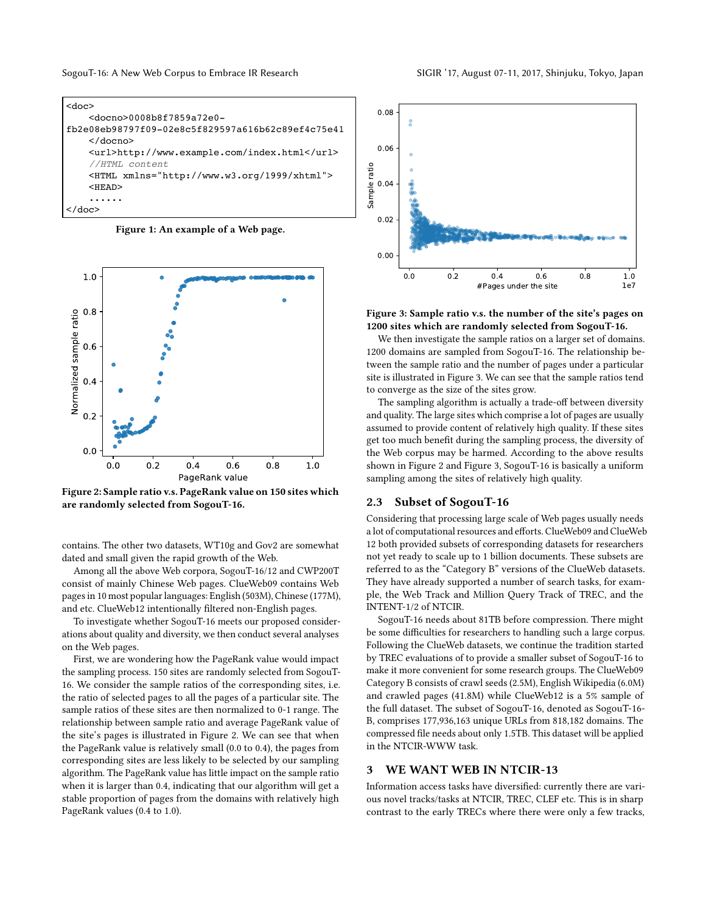SogouT-16: A New Web Corpus to Embrace IR Research SIGIR '17, August 07-11, 2017, Shinjuku, Tokyo, Japan

```
<doc>
     <docno>0008b8f7859a72e0-
fb2e08eb98797f09-02e8c5f829597a616b62c89ef4c75e41
     </docno>
     <url>http://www.example.com/index.html</url>
     //HTML content
     <HTML xmlns="http://www.w3.org/1999/xhtml"> 
     <HEAD>
     ......
</doc>
```
Figure 1: An example of a Web page.



Figure 2: Sample ratio v.s. PageRank value on 150 sites which are randomly selected from SogouT-16.

contains. The other two datasets, WT10g and Gov2 are somewhat dated and small given the rapid growth of the Web.

Among all the above Web corpora, SogouT-16/12 and CWP200T consist of mainly Chinese Web pages. ClueWeb09 contains Web pages in 10 most popular languages: English (503M), Chinese (177M), and etc. ClueWeb12 intentionally filtered non-English pages.

To investigate whether SogouT-16 meets our proposed considerations about quality and diversity, we then conduct several analyses on the Web pages.

First, we are wondering how the PageRank value would impact the sampling process. 150 sites are randomly selected from SogouT-16. We consider the sample ratios of the corresponding sites, i.e. the ratio of selected pages to all the pages of a particular site. The sample ratios of these sites are then normalized to 0-1 range. The relationship between sample ratio and average PageRank value of the site's pages is illustrated in Figure 2. We can see that when the PageRank value is relatively small (0.0 to 0.4), the pages from corresponding sites are less likely to be selected by our sampling algorithm. The PageRank value has little impact on the sample ratio when it is larger than 0.4, indicating that our algorithm will get a stable proportion of pages from the domains with relatively high PageRank values (0.4 to 1.0).



Figure 3: Sample ratio v.s. the number of the site's pages on 1200 sites which are randomly selected from SogouT-16.

We then investigate the sample ratios on a larger set of domains. 1200 domains are sampled from SogouT-16. The relationship between the sample ratio and the number of pages under a particular site is illustrated in Figure 3. We can see that the sample ratios tend to converge as the size of the sites grow.

The sampling algorithm is actually a trade-off between diversity and quality. The large sites which comprise a lot of pages are usually assumed to provide content of relatively high quality. If these sites get too much benefit during the sampling process, the diversity of the Web corpus may be harmed. According to the above results shown in Figure 2 and Figure 3, SogouT-16 is basically a uniform sampling among the sites of relatively high quality.

#### 2.3 Subset of SogouT-16

Considering that processing large scale of Web pages usually needs a lot of computational resources and efforts. ClueWeb09 and ClueWeb 12 both provided subsets of corresponding datasets for researchers not yet ready to scale up to 1 billion documents. These subsets are referred to as the "Category B" versions of the ClueWeb datasets. They have already supported a number of search tasks, for example, the Web Track and Million Query Track of TREC, and the INTENT-1/2 of NTCIR.

SogouT-16 needs about 81TB before compression. There might be some difficulties for researchers to handling such a large corpus. Following the ClueWeb datasets, we continue the tradition started by TREC evaluations of to provide a smaller subset of SogouT-16 to make it more convenient for some research groups. The ClueWeb09 Category B consists of crawl seeds (2.5M), English Wikipedia (6.0M) and crawled pages (41.8M) while ClueWeb12 is a 5% sample of the full dataset. The subset of SogouT-16, denoted as SogouT-16- B, comprises 177,936,163 unique URLs from 818,182 domains. The compressed file needs about only 1.5TB. This dataset will be applied in the NTCIR-WWW task.

#### 3 WE WANT WEB IN NTCIR-13

Information access tasks have diversified: currently there are various novel tracks/tasks at NTCIR, TREC, CLEF etc. This is in sharp contrast to the early TRECs where there were only a few tracks,